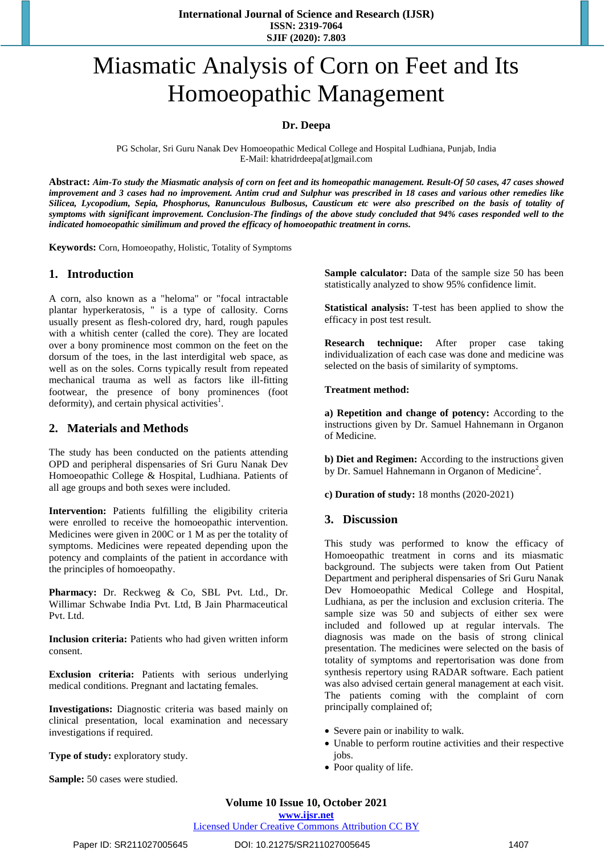# Miasmatic Analysis of Corn on Feet and Its Homoeopathic Management

#### **Dr. Deepa**

PG Scholar, Sri Guru Nanak Dev Homoeopathic Medical College and Hospital Ludhiana, Punjab, India E-Mail: khatridrdeepa[at]gmail.com

Abstract: Aim-To study the Miasmatic analysis of corn on feet and its homeopathic management. Result-Of 50 cases, 47 cases showed improvement and 3 cases had no improvement. Antim crud and Sulphur was prescribed in 18 cases and various other remedies like *Silicea, Lycopodium, Sepia, Phosphorus, Ranunculous Bulbosus, Causticum etc were also prescribed on the basis of totality of* symptoms with significant improvement. Conclusion-The findings of the above study concluded that 94% cases responded well to the *indicated homoeopathic similimum and proved the efficacy of homoeopathic treatment in corns.*

**Keywords:** Corn, Homoeopathy, Holistic, Totality of Symptoms

#### **1. Introduction**

A corn, also known as a "heloma" or "focal intractable plantar hyperkeratosis, " is a type of callosity. Corns usually present as flesh-colored dry, hard, rough papules with a whitish center (called the core). They are located over a bony prominence most common on the feet on the dorsum of the toes, in the last interdigital web space, as well as on the soles. Corns typically result from repeated mechanical trauma as well as factors like ill-fitting footwear, the presence of bony prominences (foot deformity), and certain physical activities<sup>1</sup>.

#### **2. Materials and Methods**

The study has been conducted on the patients attending OPD and peripheral dispensaries of Sri Guru Nanak Dev Homoeopathic College & Hospital, Ludhiana. Patients of all age groups and both sexes were included.

**Intervention:** Patients fulfilling the eligibility criteria were enrolled to receive the homoeopathic intervention. Medicines were given in 200C or 1 M as per the totality of symptoms. Medicines were repeated depending upon the potency and complaints of the patient in accordance with the principles of homoeopathy.

**Pharmacy:** Dr. Reckweg & Co, SBL Pvt. Ltd., Dr. Willimar Schwabe India Pvt. Ltd, B Jain Pharmaceutical Pvt. Ltd.

**Inclusion criteria:** Patients who had given written inform consent.

**Exclusion criteria:** Patients with serious underlying medical conditions. Pregnant and lactating females.

**Investigations:** Diagnostic criteria was based mainly on clinical presentation, local examination and necessary investigations if required.

**Type of study:** exploratory study.

**Sample:** 50 cases were studied.

**Sample calculator:** Data of the sample size 50 has been statistically analyzed to show 95% confidence limit.

**Statistical analysis:** T-test has been applied to show the efficacy in post test result.

**Research technique:** After proper case taking individualization of each case was done and medicine was selected on the basis of similarity of symptoms.

#### **Treatment method:**

**a) Repetition and change of potency:** According to the instructions given by Dr. Samuel Hahnemann in Organon of Medicine.

**b) Diet and Regimen:** According to the instructions given by Dr. Samuel Hahnemann in Organon of Medicine<sup>2</sup>.

**c) Duration of study:** 18 months (2020-2021)

#### **3. Discussion**

This study was performed to know the efficacy of Homoeopathic treatment in corns and its miasmatic background. The subjects were taken from Out Patient Department and peripheral dispensaries of Sri Guru Nanak Dev Homoeopathic Medical College and Hospital, Ludhiana, as per the inclusion and exclusion criteria. The sample size was 50 and subjects of either sex were included and followed up at regular intervals. The diagnosis was made on the basis of strong clinical presentation. The medicines were selected on the basis of totality of symptoms and repertorisation was done from synthesis repertory using RADAR software. Each patient was also advised certain general management at each visit. The patients coming with the complaint of corn principally complained of;

- Severe pain or inability to walk.
- Unable to perform routine activities and their respective jobs.
- Poor quality of life.

**www.ijsr.net**

Licensed Under Creative Commons Attribution CC BY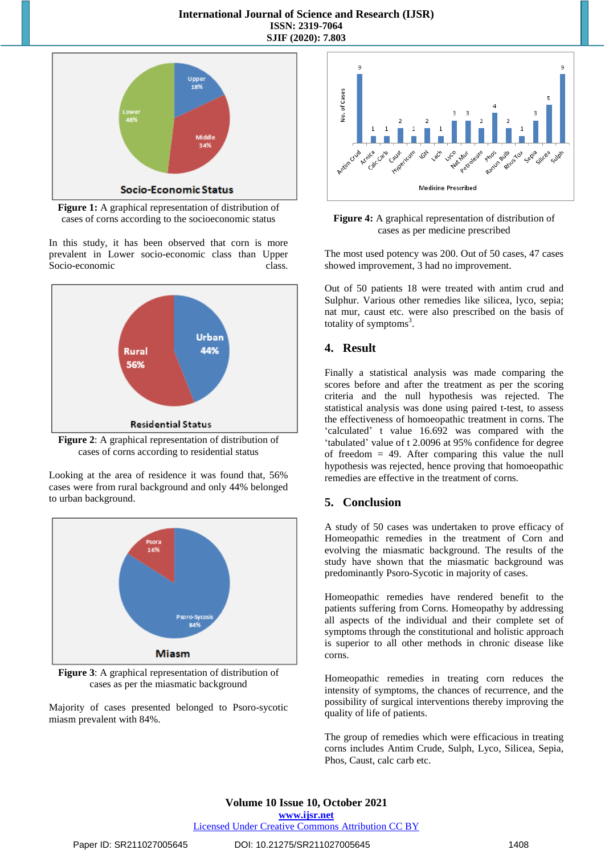

**Figure 1:** A graphical representation of distribution of cases of corns according to the socioeconomic status

In this study, it has been observed that corn is more prevalent in Lower socio-economic class than Upper Socio-economic class.



**Figure 2**: A graphical representation of distribution of cases of corns according to residential status

Looking at the area of residence it was found that, 56% cases were from rural background and only 44% belonged to urban background.



**Figure 3**: A graphical representation of distribution of cases as per the miasmatic background

Majority of cases presented belonged to Psoro-sycotic miasm prevalent with 84%.



**Figure 4:** A graphical representation of distribution of cases as per medicine prescribed

The most used potency was 200. Out of 50 cases, 47 cases showed improvement, 3 had no improvement.

Out of 50 patients 18 were treated with antim crud and Sulphur. Various other remedies like silicea, lyco, sepia; nat mur, caust etc. were also prescribed on the basis of totality of symptoms $3$ .

# **4. Result**

Finally a statistical analysis was made comparing the scores before and after the treatment as per the scoring criteria and the null hypothesis was rejected. The statistical analysis was done using paired t-test, to assess the effectiveness of homoeopathic treatment in corns. The 'calculated' t value 16.692 was compared with the 'tabulated' value of t 2.0096 at 95% confidence for degree of freedom  $= 49$ . After comparing this value the null hypothesis was rejected, hence proving that homoeopathic remedies are effective in the treatment of corns.

# **5. Conclusion**

A study of 50 cases was undertaken to prove efficacy of Homeopathic remedies in the treatment of Corn and evolving the miasmatic background. The results of the study have shown that the miasmatic background was predominantly Psoro-Sycotic in majority of cases.

Homeopathic remedies have rendered benefit to the patients suffering from Corns. Homeopathy by addressing all aspects of the individual and their complete set of symptoms through the constitutional and holistic approach is superior to all other methods in chronic disease like corns.

Homeopathic remedies in treating corn reduces the intensity of symptoms, the chances of recurrence, and the possibility of surgical interventions thereby improving the quality of life of patients.

The group of remedies which were efficacious in treating corns includes Antim Crude, Sulph, Lyco, Silicea, Sepia, Phos, Caust, calc carb etc.

**Volume 10 Issue 10, October 2021 www.ijsr.net**

## Licensed Under Creative Commons Attribution CC BY